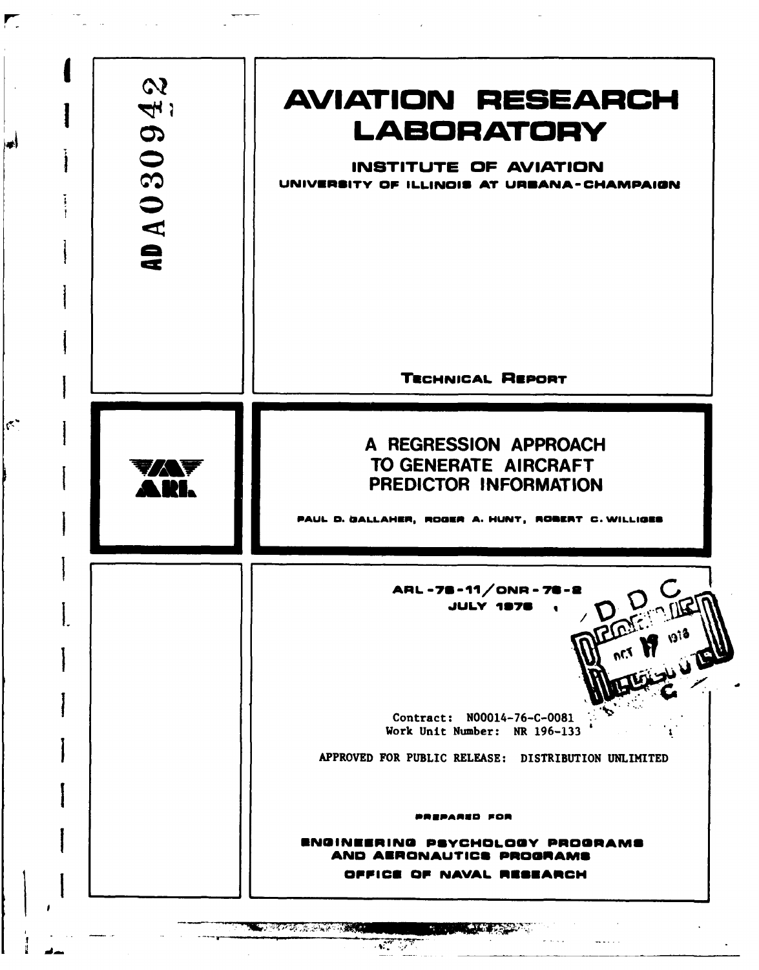| $\boldsymbol{\omega}$<br>$\mathcal{A}_n$<br>$\boldsymbol{\mathcal{D}}$<br>30<br>AD A O | <b>AVIATION RESEARCH</b><br><b>LABORATORY</b><br>INSTITUTE OF AVIATION<br>UNIVERSITY OF ILLINOIS AT URBANA-CHAMPAIGN          |
|----------------------------------------------------------------------------------------|-------------------------------------------------------------------------------------------------------------------------------|
|                                                                                        | <b>TECHNICAL REPORT</b>                                                                                                       |
| YAF<br>A II.                                                                           | A REGRESSION APPROACH<br>TO GENERATE AIRCRAFT<br>PREDICTOR INFORMATION<br>PAUL D. GALLAMER, ROGER A. HUNT, ROBERT C. WILLIGES |
|                                                                                        | ARL-78-11/ONR-78-2<br>DREAM ON DR<br>JULY 1976<br>Contract: N00014-76-C-0081                                                  |
|                                                                                        | Work Unit Number: NR 196-133<br>APPROVED FOR PUBLIC RELEASE: DISTRIBUTION UNLIMITED                                           |
|                                                                                        | <b>PREPARED FOR</b>                                                                                                           |
|                                                                                        | ENGINEERING PSYCHOLOGY PROGRAMS                                                                                               |

 $\begin{picture}(20,10) \put(0,0){\line(1,0){10}} \put(15,0){\line(1,0){10}} \put(15,0){\line(1,0){10}} \put(15,0){\line(1,0){10}} \put(15,0){\line(1,0){10}} \put(15,0){\line(1,0){10}} \put(15,0){\line(1,0){10}} \put(15,0){\line(1,0){10}} \put(15,0){\line(1,0){10}} \put(15,0){\line(1,0){10}} \put(15,0){\line(1,0){10}} \put(15,0){\line(1$ 

 $\blacktriangledown$ 

 $\blacktriangleright$ 

 $|\sigma^{\star}|$ 

ے ہے

 $\sim$  $\bar{\mathcal{A}}$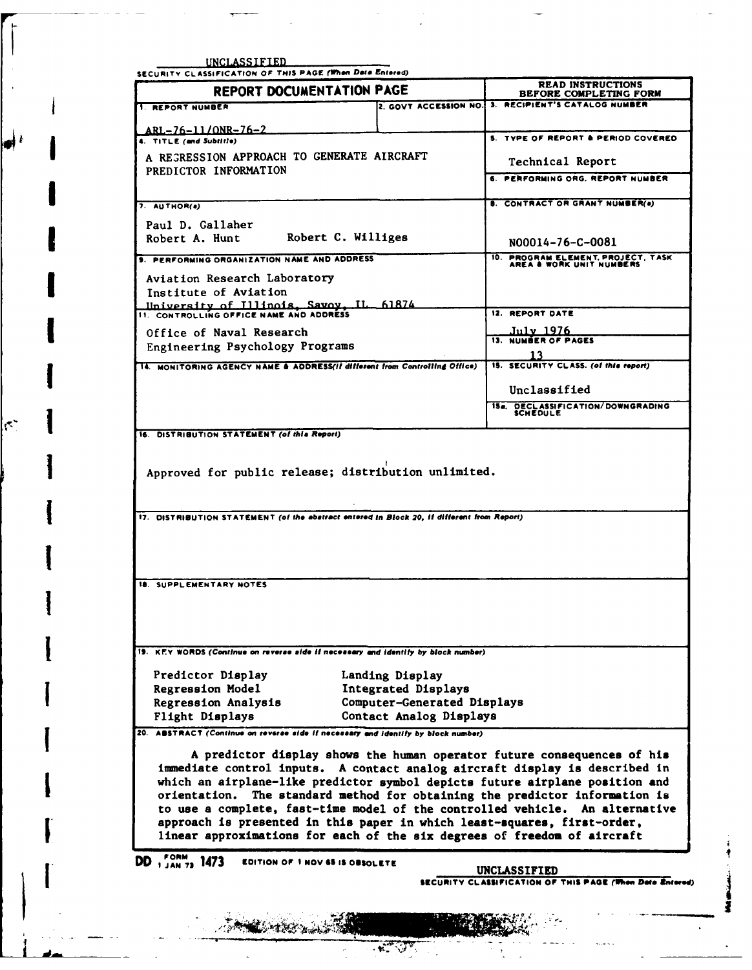| <b>I REPORT NUMBER</b>                                                                                                                                                                                                                                                                                                                                                                                                                                                                                            | REPORT DOCUMENTATION PAGE   | <b>READ INSTRUCTIONS</b><br>BEFORE COMPLETING FORM                              |  |
|-------------------------------------------------------------------------------------------------------------------------------------------------------------------------------------------------------------------------------------------------------------------------------------------------------------------------------------------------------------------------------------------------------------------------------------------------------------------------------------------------------------------|-----------------------------|---------------------------------------------------------------------------------|--|
|                                                                                                                                                                                                                                                                                                                                                                                                                                                                                                                   |                             | 2. GOVT ACCESSION NO. 3. RECIPIENT'S CATALOG NUMBER                             |  |
|                                                                                                                                                                                                                                                                                                                                                                                                                                                                                                                   |                             |                                                                                 |  |
| $ARL - 76 - 11/ONR - 76 - 2$<br>4. TITLE (and Subtitle)                                                                                                                                                                                                                                                                                                                                                                                                                                                           |                             | 5. TYPE OF REPORT & PERIOD COVERED.                                             |  |
| A REGRESSION APPROACH TO GENERATE AIRCRAFT                                                                                                                                                                                                                                                                                                                                                                                                                                                                        |                             |                                                                                 |  |
| PREDICTOR INFORMATION                                                                                                                                                                                                                                                                                                                                                                                                                                                                                             |                             | Technical Report                                                                |  |
|                                                                                                                                                                                                                                                                                                                                                                                                                                                                                                                   |                             | 6. PERFORMING ORG. REPORT NUMBER                                                |  |
| 7. AUTHOR(a)                                                                                                                                                                                                                                                                                                                                                                                                                                                                                                      |                             | <b>B. CONTRACT OR GRANT NUMBER(a)</b>                                           |  |
|                                                                                                                                                                                                                                                                                                                                                                                                                                                                                                                   |                             |                                                                                 |  |
| Paul D. Gallaher<br>Robert C. Williges<br>Robert A. Hunt                                                                                                                                                                                                                                                                                                                                                                                                                                                          |                             |                                                                                 |  |
|                                                                                                                                                                                                                                                                                                                                                                                                                                                                                                                   |                             | N00014-76-C-0081                                                                |  |
| 9. PERFORMING ORGANIZATION NAME AND ADDRESS                                                                                                                                                                                                                                                                                                                                                                                                                                                                       |                             | 10. PROGRAM ELEMENT, PROJECT, TASK AREA & WORK UNIT NUMBERS                     |  |
| Aviation Research Laboratory                                                                                                                                                                                                                                                                                                                                                                                                                                                                                      |                             |                                                                                 |  |
| Institute of Aviation                                                                                                                                                                                                                                                                                                                                                                                                                                                                                             |                             |                                                                                 |  |
| Ilniversity of T111nois, Savoy, IL 61874                                                                                                                                                                                                                                                                                                                                                                                                                                                                          |                             | 12. REPORT DATE                                                                 |  |
| Office of Naval Research                                                                                                                                                                                                                                                                                                                                                                                                                                                                                          |                             | July 1976<br>13. NUMBER OF PAGES                                                |  |
| Engineering Psychology Programs                                                                                                                                                                                                                                                                                                                                                                                                                                                                                   |                             |                                                                                 |  |
| 14. MONITORING AGENCY NAME & ADDRESS(if different from Controlling Office)                                                                                                                                                                                                                                                                                                                                                                                                                                        |                             | 13<br>15. SECURITY CLASS. (of this report)                                      |  |
|                                                                                                                                                                                                                                                                                                                                                                                                                                                                                                                   |                             |                                                                                 |  |
|                                                                                                                                                                                                                                                                                                                                                                                                                                                                                                                   |                             | Unclassified                                                                    |  |
|                                                                                                                                                                                                                                                                                                                                                                                                                                                                                                                   |                             | 15a. DECLASSIFICATION/DOWNGRADING<br>SCHEDULE                                   |  |
| 17. DISTRIBUTION STATEMENT (of the abstract entered in Block 20, if different from Report)                                                                                                                                                                                                                                                                                                                                                                                                                        |                             |                                                                                 |  |
| 18. SUPPLEMENTARY NOTES                                                                                                                                                                                                                                                                                                                                                                                                                                                                                           |                             |                                                                                 |  |
|                                                                                                                                                                                                                                                                                                                                                                                                                                                                                                                   |                             |                                                                                 |  |
| 19. KEY WORDS (Continue on reverse side if necessary and identify by block number)                                                                                                                                                                                                                                                                                                                                                                                                                                |                             |                                                                                 |  |
| Predictor Display                                                                                                                                                                                                                                                                                                                                                                                                                                                                                                 | Landing Display             |                                                                                 |  |
| Regression Model                                                                                                                                                                                                                                                                                                                                                                                                                                                                                                  | Integrated Displays         |                                                                                 |  |
| Regression Analysis                                                                                                                                                                                                                                                                                                                                                                                                                                                                                               | Computer-Generated Displays |                                                                                 |  |
|                                                                                                                                                                                                                                                                                                                                                                                                                                                                                                                   |                             |                                                                                 |  |
| Flight Displays<br>A predictor display shows the human operator future consequences of his<br>immediate control inputs. A contact analog aircraft display is described in<br>which an airplane-like predictor symbol depicts future airplane position and<br>orientation.<br>to use a complete, fast-time model of the controlled vehicle. An alternative<br>approach is presented in this paper in which least-squares, first-order,<br>linear approximations for each of the six degrees of freedom of aircraft | Contact Analog Displays     | The standard method for obtaining the predictor information is                  |  |
| 1473<br>EDITION OF 1 NOV 65 IS OBSOLETE<br>1 JAN 73                                                                                                                                                                                                                                                                                                                                                                                                                                                               |                             |                                                                                 |  |
| 20. ABSTRACT (Continue on reverse side if necessary and identify by block number)<br>DD                                                                                                                                                                                                                                                                                                                                                                                                                           |                             | <b>UNCLASSIFIED</b><br>SECURITY CLASSIFICATION OF THIS PAGE (When Data Entered) |  |
|                                                                                                                                                                                                                                                                                                                                                                                                                                                                                                                   |                             |                                                                                 |  |

**RESPECTED** 

 $\blacklozenge^i$ 

ķ.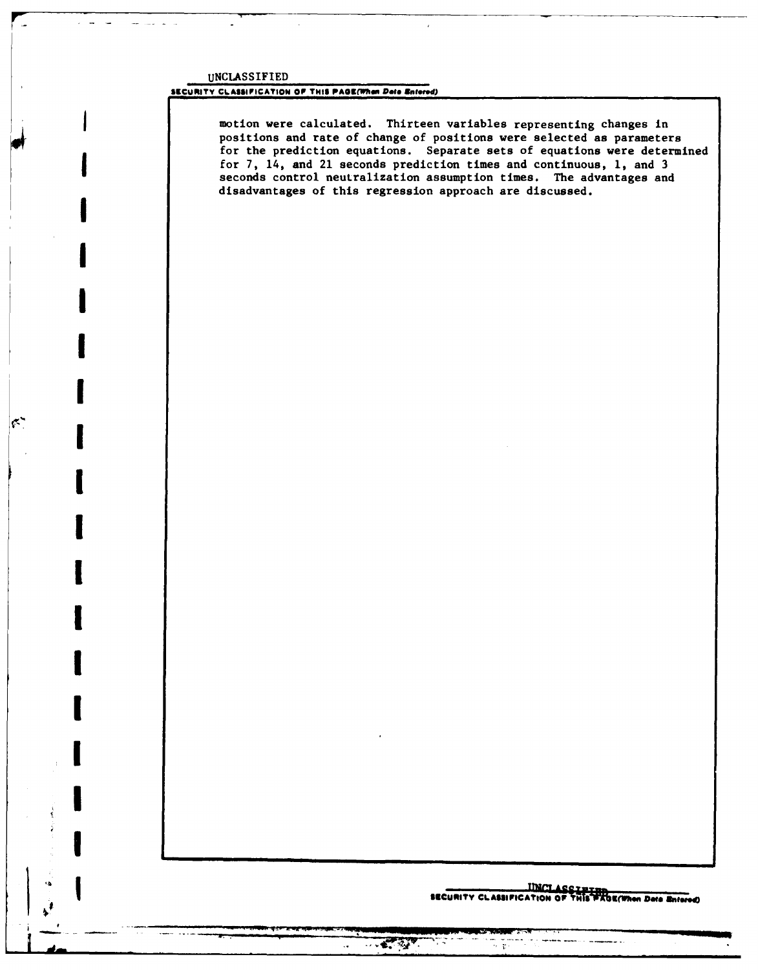UNCLASSIFIED

 $|\epsilon\rangle$ 

## SECURITY CLASSIFICATION OF THIS PAGE(When Deta Entered)

motion were calculated. Thirteen variables representing changes in positions and rate of change of positions were selected as parameters for the prediction equations. Separate sets of equations were determined for 7, 14, and 21 seconds prediction times and continuous, 1, and 3 seconds control neutralization assumption times. The advantages and disadvantages of this regression approach are discussed.

# INCLASSIFIED THE SECURITY CLASSIFIED SECURITY CLASSIFICATION OF THIS PAGE(When Data Entered)

 $\alpha$  and

 $-2.27$ 

 $\ddot{\phantom{0}}$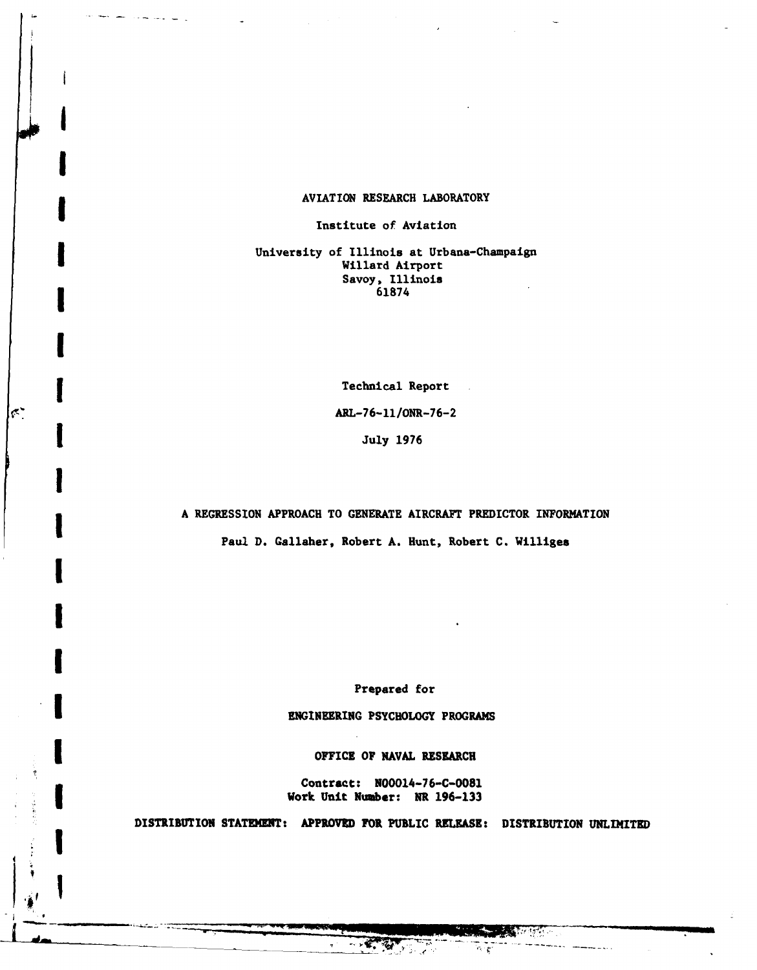# **i** AVIATION RESEARCH LABORATORY

Institute of Aviation

**I**

**I**

**1**

 $\left|\mathfrak{c}\right\rangle$ 

**[**

**[**

**, I**

l. **'** \_ \_ \_ \_ \_ \_ \_ \_ \_

University of Illinois at Urbana-Champaign Willard Airport Savoy, Illinois<br>61874

**I** Technical Report **ARL-76-11/ONR-76-2 1** July **<sup>1976</sup>**

# **A REGRESSION** APPROACH TO **GENERATE** AIRCRAFT PREDICTOR INFORMATION

Paul **D.** Gallaher, Robert **A.** Hunt, Robert **C.** Williges **[**

Prepared for

**ENGINEERING** PSYCHOLOGY PROGRAMS

**I OFFICE OF NAVAL** RESEARCH

Contract: **N00014-76-C-0081** Work Unit Number: NR **196-133**

DISTRIBUTION **STATEMENT:** APPROVED FOR **PUBLIC** RELEASE: **DISTRIBUTION UNLIMITED**

<u>इल्लहरू</u>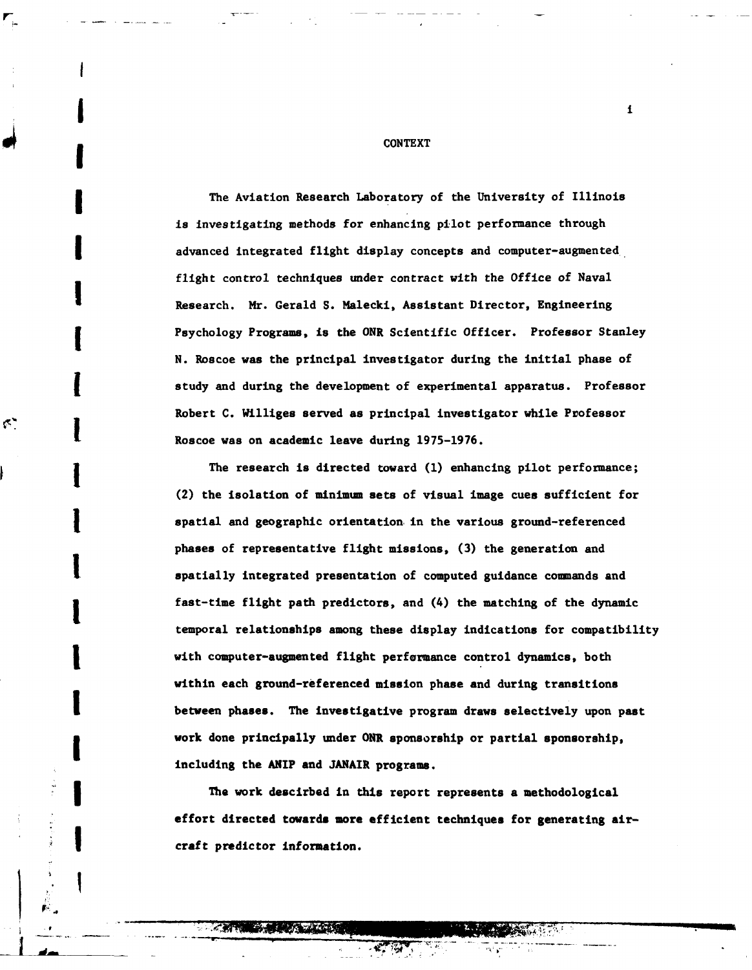**CONTEXT**

The Aviation Research Laboratory of the University of Illinois is investigating methods for enhancing pilot performance through advanced integrated flight display concepts and computer-augmented flight control techniques under contract with the Office of Naval Research. **Mr.** Gerald **S.** Malecki, Assistant Director, Engineering Psychology Programs, is the ONR Scientific Officer. Professor Stanley **N.** Roscoe was the principal investigator during the initial phase of **j** study and during the development of experimental apparatus. Professor Robert **C.** Williges served as principal investigator while Professor **I.** Roscoe was on academic leave during **1975-1976.**

The research is directed toward (1) enhancing pilot performance; (2) the isolation of minimum sets of visual image cues sufficient for **<sup>I</sup>**spatial and geographic orientation in the various ground-referenced phases of representative flight missions, **(3)** the generation and **I** spatially integrated presentation of computed guidance commands and fast-time flight path predictors, and (4) the matching of the dynamic temporal relationships among these display indications for compatibility with computer-augmented flight performance control dynamics, both within each ground-referenced mission phase and during transitions **I** between phases. The investigative program draws selectively upon past work done principally under **ONR** sponsorship or partial sponsorship, including the ANIP and **JANAIR** programs.

The work descirbed **in** this report represents a methodological effort directed towards more efficient techniques for generating air-**I** craft predictor information.

i41491 **'11001115, ,** 30

 $\mathbf{1}$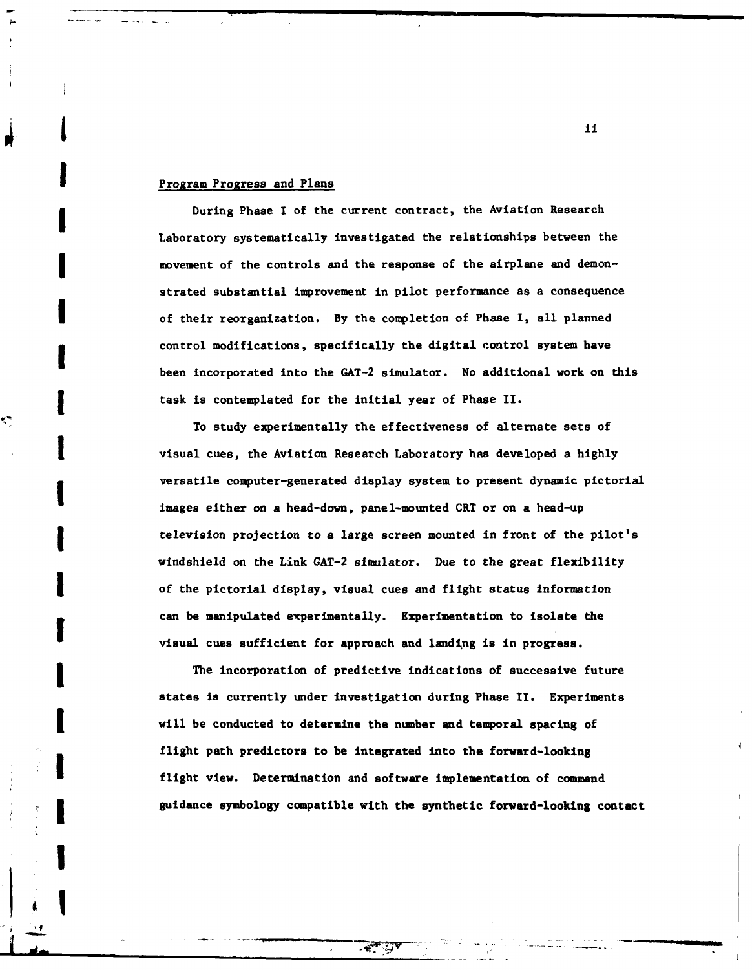# **I** Program Progress and Plans

**1**

 $\frac{1}{2}$  :

**g** During Phase I **of** the current contract, the Aviation Research Laboratory systematically investigated the relationships between the movement of the controls and the response of the airplane and demonstrated substantial improvement in pilot performance as a consequence **I** of their reorganization. **By** the completion of Phase I, all planned control modifications, specifically the digital control system have been incorporated into the **GAT-2** simulator. No additional work on this task is contemplated for the initial year of Phase II.

To study experimentally the effectiveness of alternate sets of **I** visual cues, the Aviation Research Laboratory has developed a **highly** versatile computer-generated display system to present dynamic pictorial images either on a head-down, panel-mounted CRT or on a head-up television projection to a large screen mounted in front of the pilot's windshield on the Link **GAT-2** simulator. Due to the great flexibility of the pictorial display, visual cues and flight status information can be manipulated experimentally. Experimentation to isolate the visual cues sufficient for approach and landing is in progress.

The incorporation of predictive indications of successive future states is currently **under** investigation during Phase II. Experiments will be conducted to determine the number and temporal spacing of flight path predictors to be integrated into the forward-looking flight view. Determination and software implementation of command **I** guidance symbology compatible with the synthetic forward-looking contact

**I ii**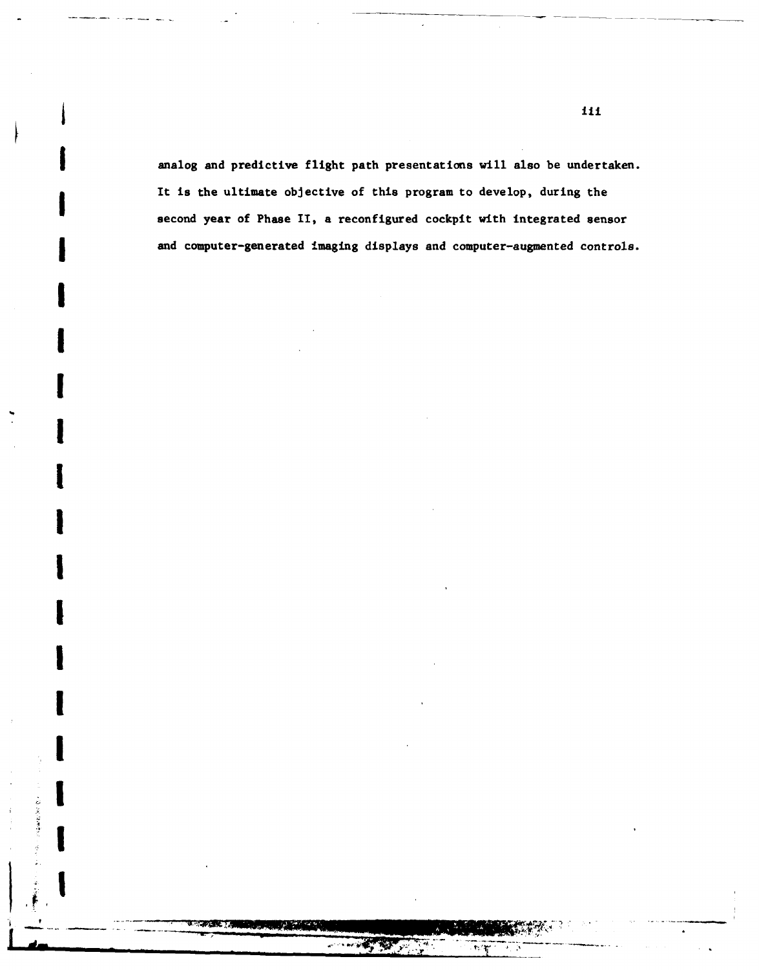analog and predictive flight path presentations will also be undertaken. It is the ultimate objective of this program to develop, during the second year of Phase II, a reconfigured cockpit with integrated sensor and computer-generated imaging displays and computer-augmented controls.

12-AMP 100 0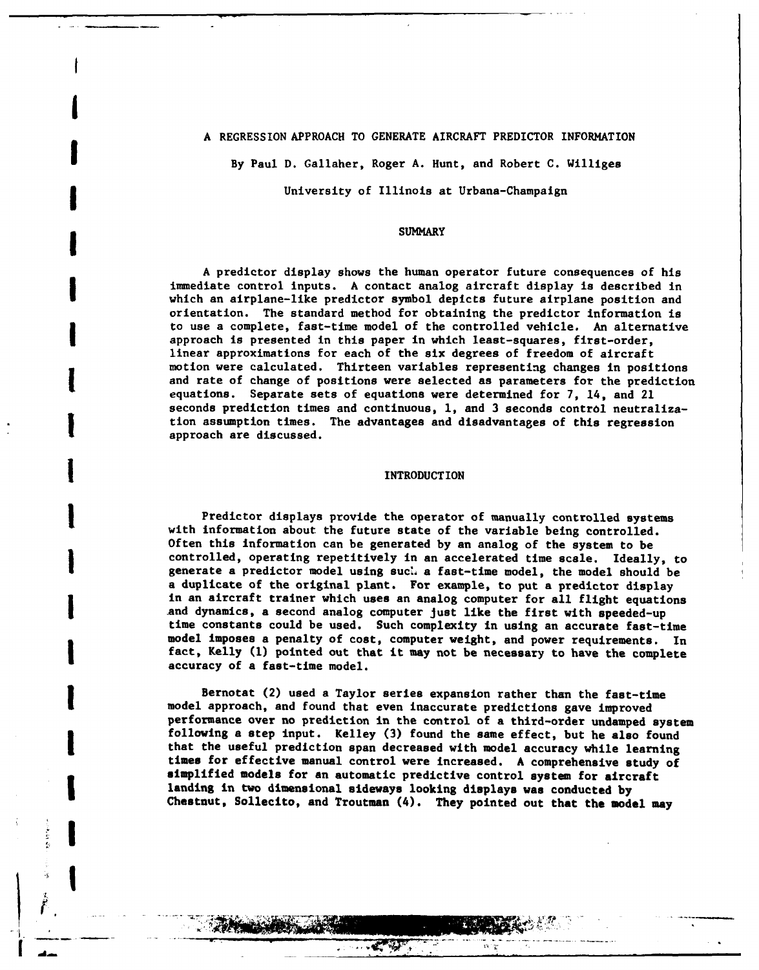# **A** REGRESSION APPROACH TO GENERATE AIRCRAFT PREDICTOR INFORMATION

**I**

1<br>1INTRODUCTION<br>1INTRODUCTION

**By** Paul **D.** Gallaher, Roger A. Hunt, and Robert **C.** Williges

## University of Illinois at Urbana-Champaign

# **i i** SUMMARY

A predictor display shows the human operator future consequences of his immediate control inputs. A contact analog aircraft display is described in which an airplane-like predictor symbol depicts future airplane position and orientation. The standard method for obtaining the predictor information is **to** use a complete, fast-time model of the controlled vehicle. An alternative approach is presented in this paper in which least-squares, first-order, linear approximations for each of the six degrees of freedom of aircraft motion were calculated. Thirteen variables representing changes in positions and rate of change of positions were selected as parameters for the prediction equations. Separate sets of equations were determined for **7,** 14, and 21 seconds prediction times and continuous, **1,** and 3 seconds control neutralization assumption times. The advantages and disadvantages of this regression approach are discussed.

#### **INTRODUCTION**

with information about the future state of the variable being controlled. Often this information can be generated by an analog of the system to be controlled, operating repetitively in an accelerated time scale. Ideally, to generate a predictor model using suc. a fast-time model, the model should be a duplicate of the original plant. For example, to put a predictor display in an aircraft trainer which uses an analog computer for all flight equations and dynamics, a second analog computer just like the first with speeded-up time constants could be used. Such complexity in using an accurate fast-time model imposes a penalty of cost, computer weight, and power requirements. In fact, Kelly **(1)** pointed out that it may not be necessary to have the complete accuracy of a fast-time model.

Bernotat (2) used a Taylor series expansion rather than the fast-time model approach, and found that even inaccurate predictions gave improved performance over no prediction in the control of a third-order undamped system following a step input. Kelley **(3)** found the same effect, but he also found that the useful prediction span decreased with model accuracy while learning times for effective manual control were increased. A comprehensive study of simplified models for an automatic predictive control system for aircraft landing in two dimensional sideways looking displays was conducted **by** Chestnut, Sollecito, and Troutman (4). They pointed out that the model may

**NO -7|**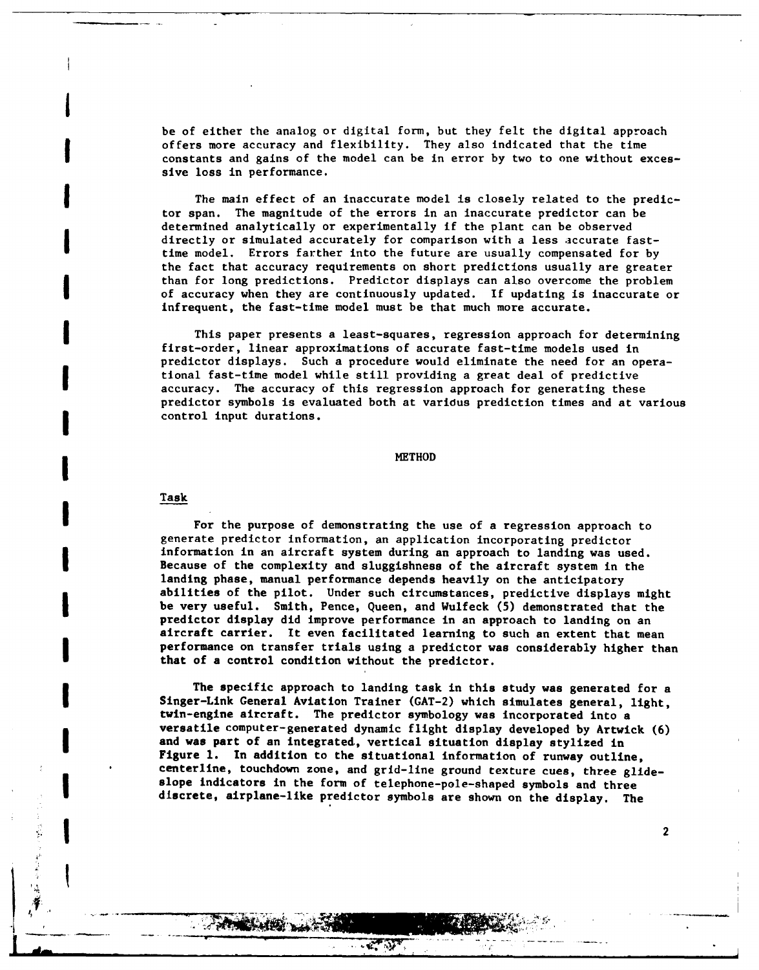be of either the analog or digital form, but they felt the digital approach offers more accuracy and flexibility. They also indicated that the time constants and gains of the model can be in error by two to one without exces- sive loss in performance.

The main effect of an inaccurate model is closely related to the predictor span. The magnitude of the errors in an inaccurate predictor can be determined analytically or experimentally if the plant can be observed directly or simulated accurately for comparison with a less accurate fasttime model. Errors farther into the future are usually compensated for by the fact that accuracy requirements on short predictions usually are greater than for long predictions. Predictor displays can also overcome the problem of accuracy when they are continuously updated. If updating is inaccurate or infrequent, the fast-time model must be that much more accurate.

This paper presents a least-squares, regression approach for determining first-order, linear approximations of accurate fast-time models used in predictor displays. Such a procedure would eliminate the need for an operational fast-time model while still providing a great deal of predictive accuracy. The accuracy of this regression approach for generating these predictor symbols is evaluated both at varidus prediction times and at various control input durations.

# **I** METHOD

#### Task

**I**

*If*it

For the purpose of demonstrating the use of a regression approach to generate predictor information, an application incorporating predictor information in an aircraft system during an approach to landing was used. Because of the complexity and sluggishness of the aircraft system in the landing phase, manual performance depends heavily on the anticipatory abilities of the pilot. Under such circumstances, predictive displays might be very useful. Smith, Pence, Queen, and Wulfeck **(5)** demonstrated that the predictor display did improve performance in an approach to landing on an aircraft carrier. It even facilitated learning to such an extent that mean performance on transfer trials using a predictor was considerably higher than that of a control condition without the predictor.

The specific approach to landing task in this study was generated for a Singer-Link General Aviation Trainer **(GAT-2)** which simulates general, light, twin-engine aircraft. The predictor symbology was incorporated into a versatile computer-generated dynamic flight display developed **by** Artwick **(6)** and was part of an integrated, vertical situation display stylized in Figure **1.** In addition to the situational information of runway outline, centerline, touchdown zone, and grid-line ground texture cues, three glideslope indicators in the form of telephone-pole-shaped symbols and three discrete, airplane-like predictor symbols are shown on the display. The

 $\overline{2}$ 

 $\mathbf{P}$ 

K. D.

**1990 LA**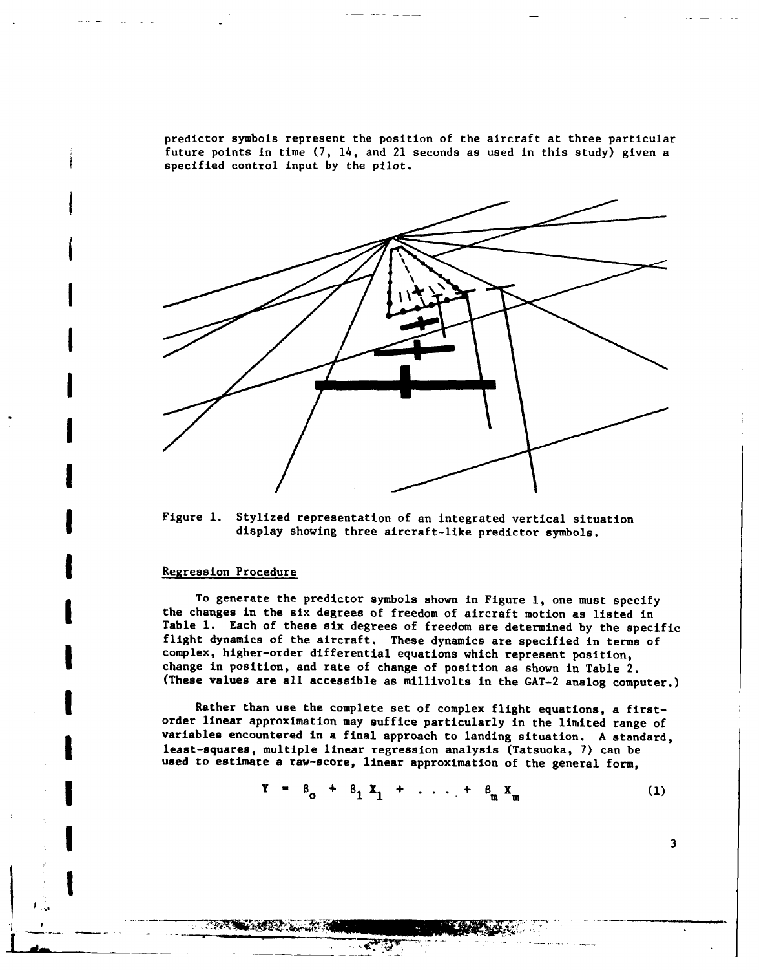predictor symbols represent the position of the aircraft at three particular future points in time **(7,** 14, and 21 seconds as used in this study) given a specified control input **by** the pilot.



Figure **1.** Stylized representation of an integrated vertical situation display showing three aircraft-like predictor symbols.

#### Regression Procedure

**TAR SHARE A LATA** 

**I**

To generate the predictor symbols shown in Figure **1,** one must specify the changes in the six degrees of freedom of aircraft motion as listed in Table **1.** Each of these six degrees of freedom are determined by the specific flight dynamics of the aircraft. These dynamics are specified in terms of complex, higher-order differential equations which represent position, change in position, and rate of change of position as shown in Table 2. (These values are all accessible as millivolts in the GAT-2 analog computer.)

Rather than use the complete set of complex flight equations, a firstorder linear approximation may suffice particularly in the limited range of variables encountered in a final approach to landing situation. A standard, least-squares, multiple linear regression analysis (Tatsuoka, **7)** can be used to estimate a raw-score, linear approximation of the general form,

$$
Y = \beta_0 + \beta_1 X_1 + \ldots + \beta_m X_m \tag{1}
$$

 $\mathbf{3}$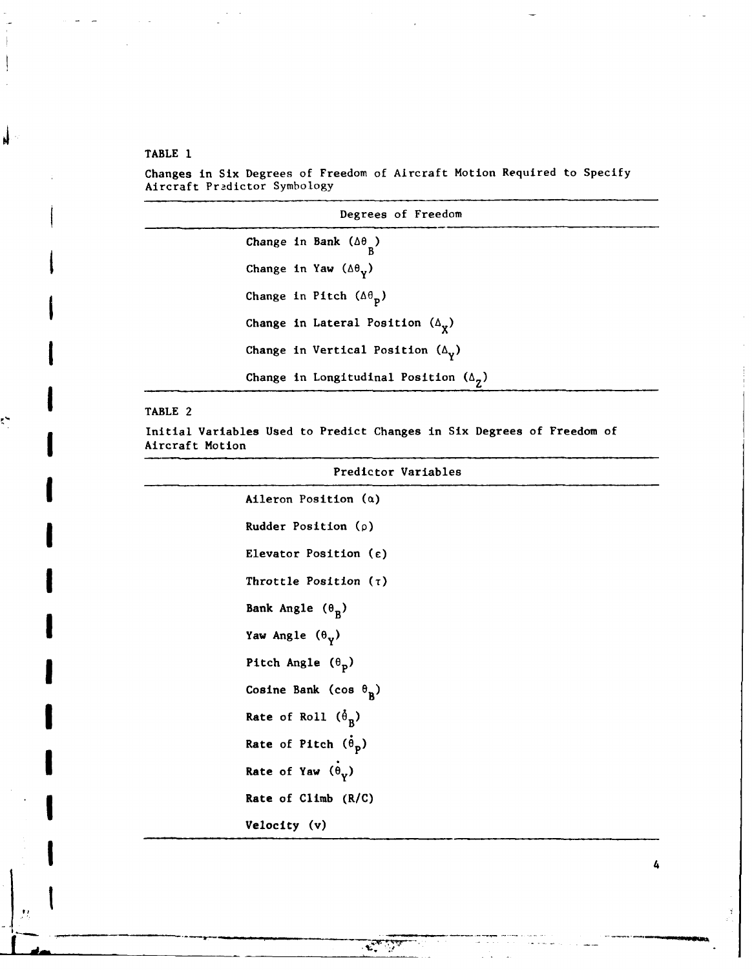TABLE **1**

j.

Š,

Changes in Six Degrees of Freedom of Aircraft Motion Required to Specify Aircraft Pradictor Symbology

| Degrees of Freedom                                  |
|-----------------------------------------------------|
| Change in Bank $(\Delta \theta_p)$                  |
| Change in Yaw $(\Delta \theta_{V})$                 |
| Change in Pitch $(\Delta \theta_p)$                 |
| Change in Lateral Position $(\Delta_{\mathbf{y}})$  |
| Change in Vertical Position $(\Delta_{\mathbf{v}})$ |
| Change in Longitudinal Position $(\Delta_g)$        |
|                                                     |

# TABLE 2

*AIM*

Initial Variables Used to Predict Changes in Six Degrees of Freedom of Aircraft Motion

|   | Predictor Variables             |
|---|---------------------------------|
| I | Aileron Position $(a)$          |
| I | Rudder Position $(\rho)$        |
|   | Elevator Position (c)           |
| I | Throttle Position $(7)$         |
|   | Bank Angle $(\theta_R)$         |
| l | Yaw Angle $(\theta_v)$          |
| į | Pitch Angle $(\theta_p)$        |
|   | Cosine Bank (cos $\theta_{p}$ ) |
|   | Rate of Roll $(\hat{\theta}_R)$ |
|   | Rate of Pitch $(\theta_p)$      |
|   | Rate of Yaw $(\theta_V)$        |
| l | Rate of Climb (R/C)             |
|   | Velocity (v)                    |
| 8 |                                 |

فلتستعص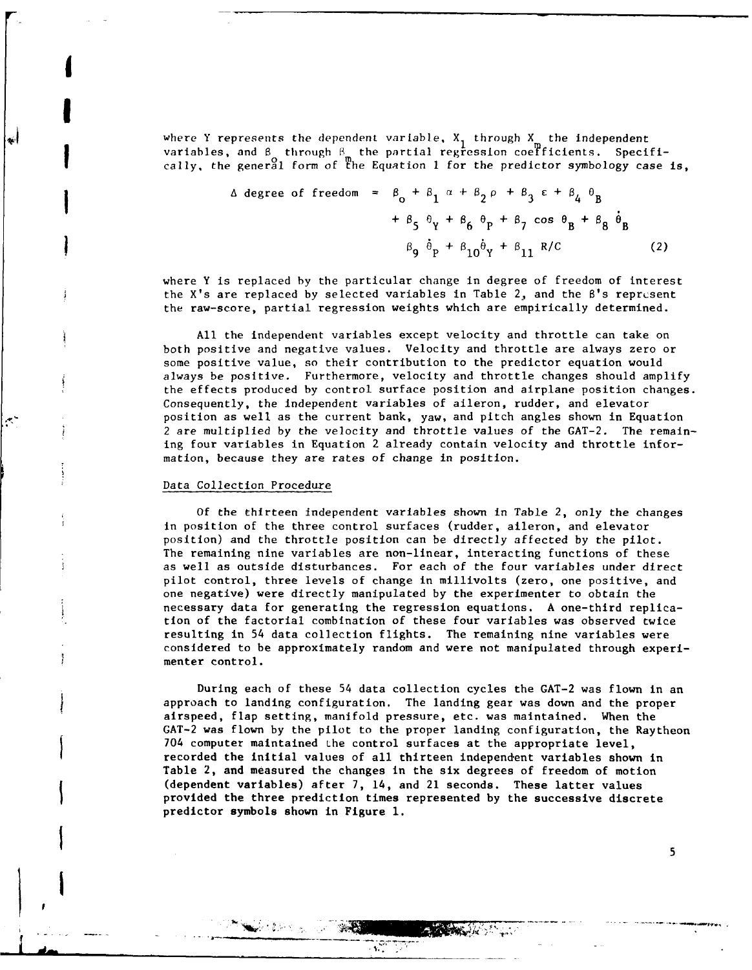where Y represents the dependent variable,  $X_1$  through  $X_2$  the independent variables, and  $\beta$  through  $\beta$  the partial regression coerficients. Specifically, the general form of the Equation 1 for the predictor symbology case is,

$$
\Delta \text{ degree of freedom} = \beta_0 + \beta_1 \alpha + \beta_2 \rho + \beta_3 \epsilon + \beta_4 \theta_B
$$
  
+  $\beta_5 \theta_Y + \beta_6 \theta_P + \beta_7 \cos \theta_B + \beta_8 \dot{\theta}_B$   

$$
\beta_9 \dot{\theta}_P + \beta_{10} \dot{\theta}_Y + \beta_{11} R/C
$$
 (2)

where Y is replaced by the particular change in degree of freedom of interest the X's are replaced by selected variables in Table 2, and the B's represent the raw-score, partial regression weights which are empirically determined.

All the independent variables except velocity and throttle can take on both positive and negative values. Velocity and throttle are always zero or some positive value, so their contribution to the predictor equation would always be positive. Furthermore, velocity and throttle changes should amplify the effects produced by control surface position and airplane position changes. Consequently, the independent variables of aileron, rudder, and elevator position as well as the current bank, yaw, and pitch angles shown in Equation 2 are multiplied by the velocity and throttle values of the GAT-2. The remaining four variables in Equation 2 already contain velocity and throttle information, because they are rates of change in position.

#### Data Collection Procedure

**I**

**I**

Of the thirteen independent variables shown in Table 2, only the changes in position of the three control surfaces (rudder, aileron, and elevator position) and the throttle position can be directly affected by the pilot. The remaining nine variables are non-linear, interacting functions of these as well as outside disturbances. For each of the four variables under direct pilot control, three levels of change in millivolts (zero, one positive, and one negative) were directly manipulated by the experimenter to obtain the necessary data for generating the regression equations. A one-third replication of the factorial combination of these four variables was observed twice resulting in 54 data collection flights. The remaining nine variables were considered to be approximately random and were not manipulated through experimenter control.

During each of these 54 data collection cycles the GAT-2 was flown in an approach to landing configuration. The landing gear was down and the proper airspeed, flap setting, manifold pressure, etc. was maintained. When the GAT-2 was flown by the pilot to the proper landing configuration, the Raytheon 704 computer maintained the control surfaces at the appropriate level, recorded the initial values of all thirteen independent variables shown in Table 2, and measured the changes in the six degrees of freedom of motion (dependent variables) after 7, 14, and 21 seconds. These latter values provided the three prediction times represented by the successive discrete predictor symbols shown in Figure **1.**

**TAX** 

计算机站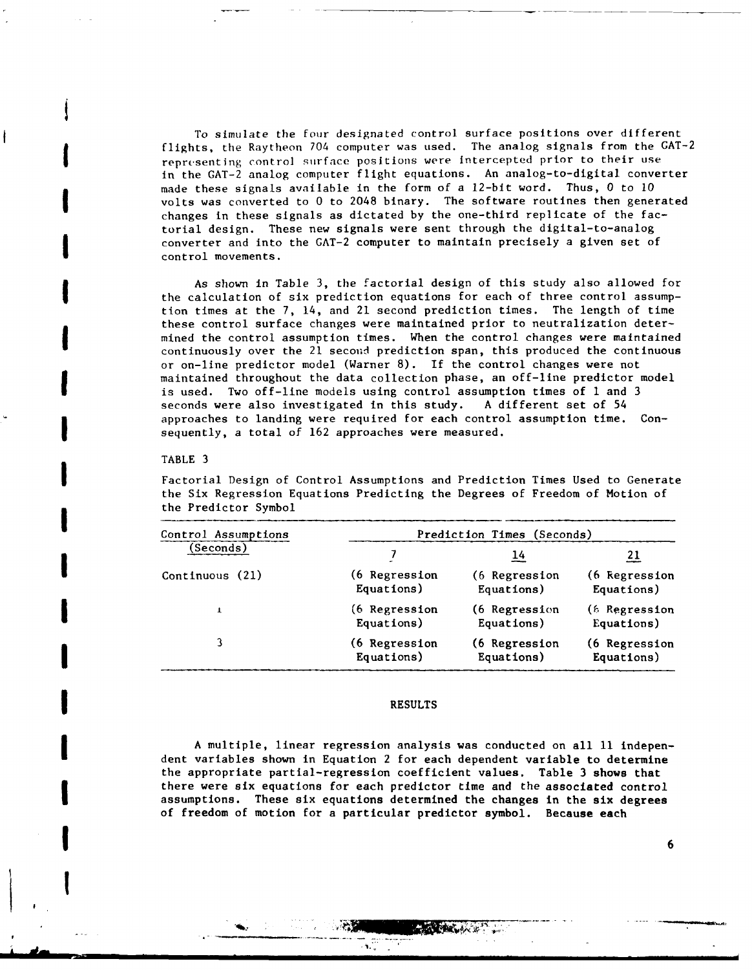To simulate the four designated control surface positions over different flights, the Raytheon 704 computer was used. The analog signals from the GAT-2 representing control surface positions were intercepted prior to their use in the GAT-2 analog computer flight equations. An analog-to-digital converter made these signals available in the form of a 12-bit word. Thus, 0 to 10<br>volts was converted to 0 to 2048 binary. The software routines then generated changes in these signals as dictated by the one-third replicate of the factorial design. These new signals were sent through the digital-to-analog converter and into the GAT-2 computer to maintain precisely a given set of control movements.

As shown in Table 3, the factorial design of this study also allowed for the calculation of six prediction equations for each of three control assumption times at the 7, 14, and 21 second prediction times. The length of time these control surface changes were maintained prior to neutralization determined the control assumption times. When the control changes were maintained continuously over the 21 second prediction span, this produced the continuous or on-line predictor model (Warner 8). If the control changes were not maintained throughout the data collection phase, an off-line predictor model is used. Two off-line models using control assumption times of 1 and 3 seconds were also investigated in this study. A different set of 54 approaches to landing were required for each control assumption time. Consequently, a total of 162 approaches were measured.

#### TABLE **3**

i<br>İ

 $\blacksquare$ 

Factorial Design of Control Assumptions and Prediction Times Used to Generate the Six Regression Equations Predicting the Degrees of Freedom of Motion of the Predictor Symbol

| Control Assumptions | Prediction Times (Seconds) |                      |                |  |
|---------------------|----------------------------|----------------------|----------------|--|
| Seconds)            |                            | 14                   | 21             |  |
| Continuous (21)     | (6 Regression              | (6 Regression        | (6 Regression  |  |
|                     | Equations)                 | Equations)           | Equations)     |  |
| T                   | (6 Regression)             | (6 Regression        | (6 Regression) |  |
|                     | Equations)                 | Equations)           | Equations)     |  |
| 3                   | (6 Regression              | <b>(6 Regression</b> | (6 Regression  |  |
|                     | Equations)                 | Equations)           | Equations)     |  |

#### **RESULTS**

A multiple, linear regression analysis was conducted on all **11** independent variables shown in Equation 2 for each dependent variable to determine the appropriate partial-regression coefficient values. Table 3 shows that there were six equations for each predictor time and the associated control assumptions. These six equations determined the changes in the six degrees of freedom of motion for a particular predictor symbol. Because each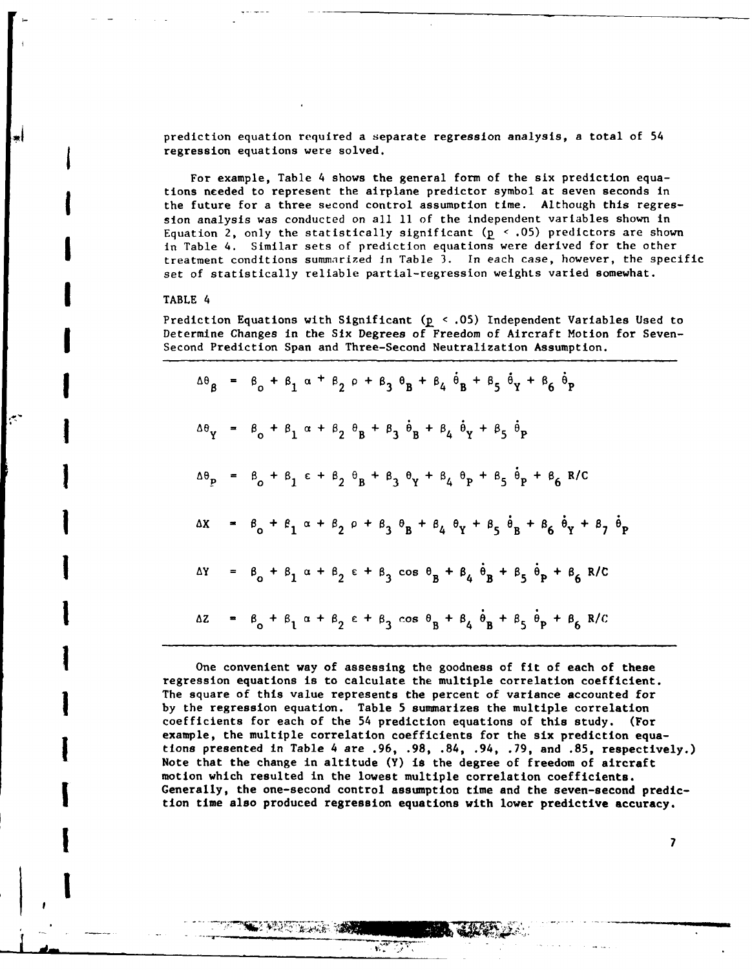prediction equation required a separate regression analysis, a total of 54 regression equations were solved.

For example, Table 4 shows the general form of the six prediction equations needed to represent the airplane predictor symbol at seven seconds in the future for a three second control assumption time. Although this regression analysis was conducted on all 11 of the independent variables shown in Equation 2, only the statistically significant **(p <** .05) predictors are shown in Table 4. Similar sets of prediction equations were derived for the other treatment conditions summarized In Table 3. In each case, however, the specific set of statistically reliable partial-regression weights varied somewhat.

#### **I** TABLE 4

**17**

Prediction Equations with Significant **(p** < .05) Independent Variables Used to Determine Changes in the Six Degrees of Freedom of Aircraft Motion for Seven-Second Prediction Span and Three-Second Neutralization Assumption.

|                             | $\Delta\theta_B$ = $\beta_0$ + $\beta_1$ $\alpha$ + $\beta_2$ $\rho$ + $\beta_3$ $\theta_B$ + $\beta_4$ $\dot{\theta}_B$ + $\beta_5$ $\dot{\theta}_Y$ + $\beta_6$ $\dot{\theta}_P$ |
|-----------------------------|------------------------------------------------------------------------------------------------------------------------------------------------------------------------------------|
| $\Delta\theta_{\mathbf{v}}$ | = $\beta_0$ + $\beta_1$ $\alpha$ + $\beta_2$ $\theta_B$ + $\beta_3$ $\dot{\theta}_B$ + $\beta_4$ $\dot{\theta}_Y$ + $\beta_5$<br>$\ddot{\theta}_{\mathbf{p}}$                      |
| $\Delta\theta_{\bf p}$      | = $\beta_0 + \beta_1 \epsilon + \beta_2 \theta_B + \beta_3 \theta_Y + \beta_4 \theta_P + \beta_5$<br>$\theta_p$ + $\beta_6$ R/C                                                    |
| ΔΧ                          | = $B_0 + B_1 \alpha + B_2 \rho + B_3 B_1 + B_4 B_1 + B_5 B_1 + B_6 B_1 + B_7$<br>$\ddot{\theta}_p$                                                                                 |
| ΔΥ                          | = $\beta_0 + \beta_1 \alpha + \beta_2 \epsilon + \beta_3 \cos \theta_B + \beta_4 \theta_B + \beta_5 \theta_P + \beta_6 R/C$                                                        |
| ΔZ                          | = $\beta_0 + \beta_1 \alpha + \beta_2 \epsilon + \beta_3 \cos \theta_B + \beta_4 \dot{\theta}_B + \beta_5 \dot{\theta}_P$<br>+ $\beta_6$ R/C                                       |

One convenient way of assessing the goodness of fit of each of these regression equations is to calculate the multiple correlation coefficient. The square of this value represents the percent of variance accounted for by the regression equation. Table 5 summarizes the multiple correlation coefficients for each of the 54 prediction equations of this study. (For example, the multiple correlation coefficients for the six prediction equations presented in Table 4 are **.96, .98,** .84, .94, **.79,** and **.85,** respectively.) Note that the change in altitude **(Y)** is the degree of freedom of aircraft motion which resulted in the lowest multiple correlation coefficients. Generally, the one-second control assumption time and the seven-second prediction time also produced regression equations with lower predictive accuracy.

**t'IT 7-**

 $\sqrt{2}$ 

**WE WANT TO GET YOUR**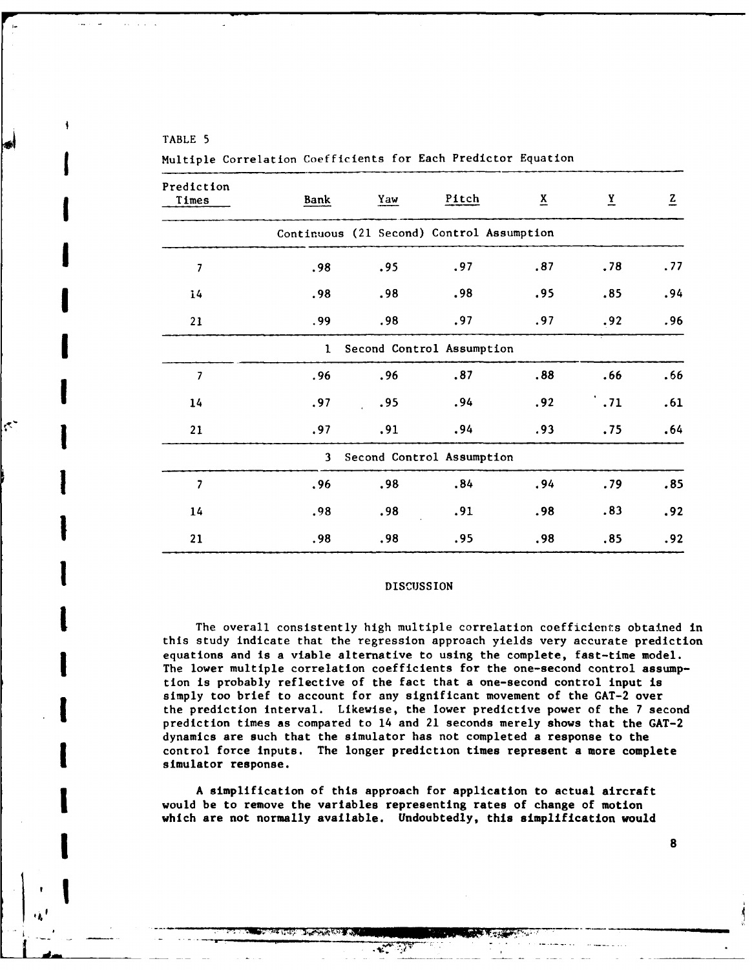# TABLE 5

**IDISCUSSION**

**!8**

Ġ,

Prediction Times Bank Yaw Pitch X Y **Z** Continuous (21 Second) Control Assumption **1 7 .98 .95 .97 .87 .78 .77** 14 **.98 .98 .98 .95 .85** .94 21 **.99 .98 .97 .97 .92 .96** I Second Control Assumption **7 .96 .96 .87 .88 .66 .66** 14 **.97 .95** .94 **.92 .71 .61** 21 **.97 .91** .94 **.93 .75** .64 3 Second Control Assumption **7 .96 .98** .84 .94 **.79 .85** 14 **.98 .98 .91 .98 .83** .92 **1** 21 **.98 .98 .95 .98 .85 .92**

**(** Multiple Correlation Coefficients for Each Predictor Equation

## **DISCUSSION**

The overall consistently high multiple correlation coefficients obtained in this study indicate that the regression approach yields very accurate prediction equations and is a viable alternative to using the complete, fast-time model. The lower multiple correlation coefficients for the one-second control assumption is probably reflective of the fact that a one-second control input is simply too brief to account for any significant movement of the GAT-2 over the **1** prediction interval. Likewise, the lower predictive power of the **7** second prediction times as compared to 14 and 21 seconds merely shows that the GAT-2 dynamics are such that the simulator has not completed a response to the control force inputs. The longer prediction times represent a more complete simulator response.

A simplification of this approach for application to actual aircraft would be to remove the variables representing rates of change of motion which are not normally available. Undoubtedly, this simplification would

**,7** .-... **T.** . . .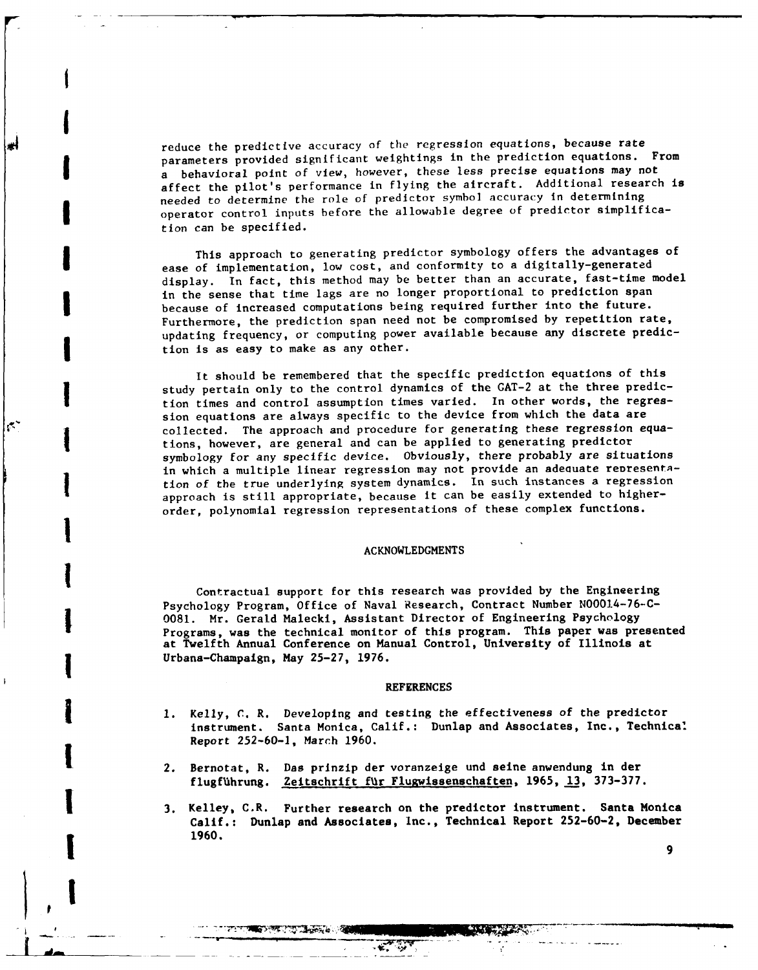reduce the predictive accuracy of the regression equations, because rate parameters provided significant weightings in the prediction equations. From a behavioral point of view, however, these less precise equations may not affect the pilot's performance in flying the aircraft. Additional research is needed to determine the role of predictor symbol accuracy in determining **I** operator control inputs before the allowable degree of predictor simplification can be specified.

**I**

**I**

ابد

 $\mathcal{C}^{\mathcal{C}}$ 

This approach to generating predictor symbology offers the advantages of ease of implementation, low cost, and conformity to a digitally-generated display. In fact, this method may be better than an accurate, fast-time model in the sense that time lags are no longer proportional to prediction span because of increased computations being required further into the future. Furthermore, the prediction span need not be compromised by repetition rate, updating frequency, or computing power available because any discrete prediction is as easy to make as any other.

It should be remembered that the specific prediction equations of this study pertain only to the control dynamics of the GAT-2 at the three prediction times and control assumption times varied. In other words, the regression equations are always specific to the device from which the data are collected. The approach and procedure for generating these regression equations, however, are general and can be applied to generating predictor symbology for any specific device. Obviously, there probably are situations in which a multiple linear regression may not provide an adequate representation of the true underlying system dynamics. In such instances a regression approach is still appropriate, because it can be easily extended to higherorder, polynomial regression representations of these complex functions. **I**

# ACKNOWLEDGMENTS **I**

Contractual support for this research was provided **by** the Engineering Psychology Program, Office of Naval Research, Contract Number N00014-76-C-**0081.** Mr. Gerald Malecki, Assistant Director of Engineering Psychology Programs, was the technical monitor of this program. This paper was presented at Twelfth Annual Conference on Manual Control, University of Illinois at Urbana-Champaign, May 25-27, 1976.

#### REFERENCES

- 1 **1.** Kelly, **C.** R. Developing and testing the effectiveness of the predictor instrument. Santa Monica, Calif.: Dunlap and Associates, Inc., Technical Report **252-60-1,** March 1960.
- 2. Bernotat, R. Das prinzip der voranzelge und seine anwendung in der flugführung. Zeitschrift für Flugwissenschaften, 1965, 13, 373-377.

**THE STATE OF THE COMPANY** 

**1** 3. Kelley, C.R. Further research on the predictor instrument. Santa Monica Calif.: Dunlap and Associates, Inc., Technical Report 252-60-2, December **1 1960.**

7365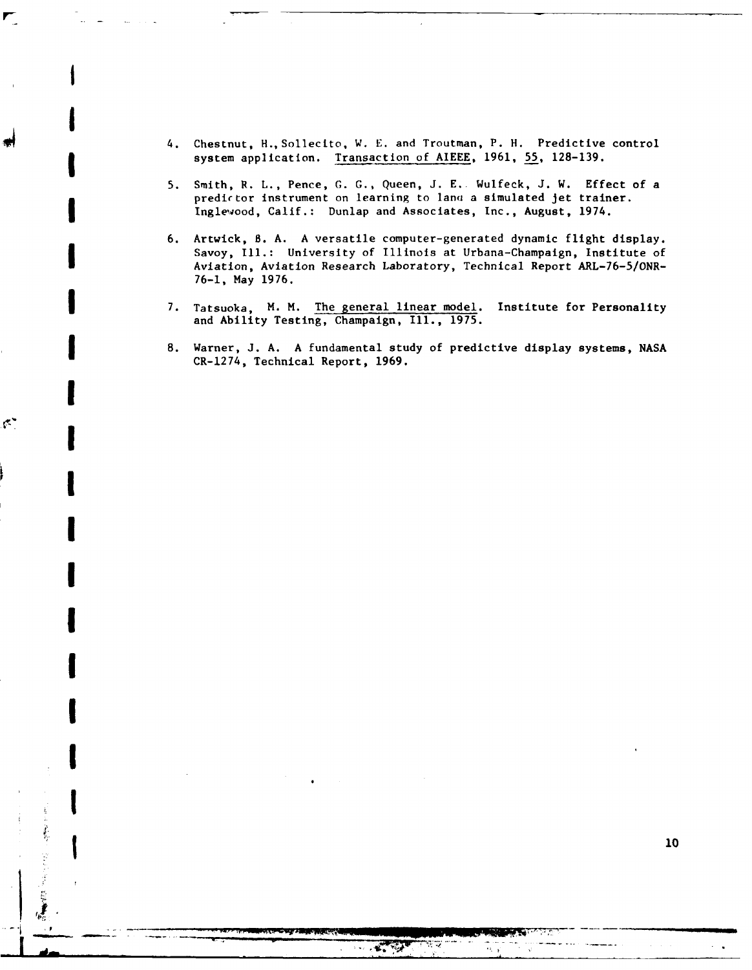4. Chestnut, H.,Sollecito, W. E. and Troutman, P. H. Predictive control system application. Transaction of AIEEE, 1961, 55, 128-139.

**I**

**I**

**I**

¢,

**I**

**I**

**I**

**I**

**I**

**I**

**I**

- 5. Smith, R. L., Pence, **G. G.,** Queen, J. **E..** Wulfeck, J. W. Effect of a predictor instrument on learning to lana a simulated jet trainer. Inglewood, Calif.: Dunlap and Associates, Inc., August, 1974.
- 6. Artwick, **B.** A. A versatile computer-generated dynamic flight display. Savoy, **Ill.:** University of Illinois at Urbana-Champaign, Institute of Aviation, Aviation Research Laboratory, Technical Report ARL-76-5/ONR-76-1, May 1976.
- 7. Tatsuoka, M. M. The general linear model. Institute for Personality and Ability Testing, Champaign, Ill., 1975.
- **8.** Warner, **J. A. A** fundamental study of predictive display systems, NASA CR-1274, Technical Report, 1969.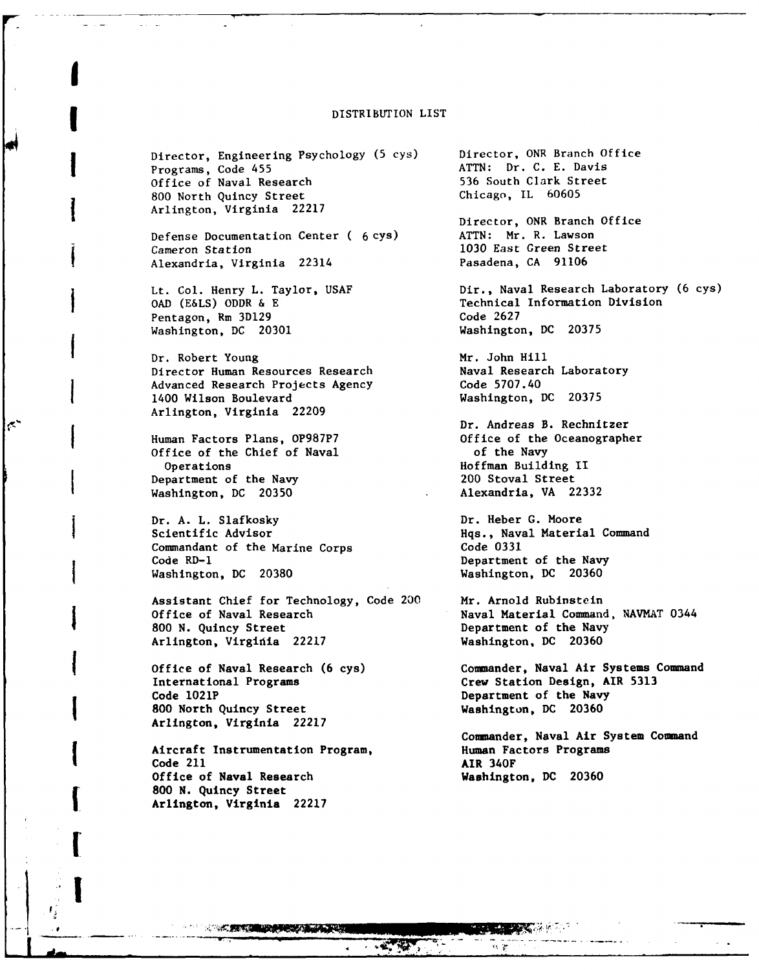#### **I** DISTRIBUTION LIST

Director, Engineering Psychology (5 cys) Director, ONR Branch Office<br>Programs, Code 455 **ATTN: Dr. C. E. Davis** Programs, Code 455 **ATTN: Dr. C. E. Davis**<br>
Office of Naval Research **ATTN: Dr. C. E. Davis** Office of Naval Research 536 South Clark Street 800 North Quincy Street<br>Arlington, Virginia 22217

Defense Documentation Center ( 6 cys) ATTN: Mr. R. Lawson<br>Cameron Station 1030 East Green Stree Alexandria, Virginia 22314

Pentagon, Rm 3D129 Code 2627 Washington, DC 20301

**I**

 $\mathcal{C}$ 

Dr. Robert Young<br>
Director Human Resources Research<br>
Maval Research Laboratory Director Human Resources Research Advanced Research Projects Agency Code 5707.40 1400 Wilson Boulevard Washington, DC 20375 Arlington, Virginia 22209

Office of the Chief of Naval of the Navy Operations 11<br>
1992 - Constanting International Construction of the Navy<br>
200 Stoval Street Department of the Navy Washington, DC 20350 Alexandria, VA 22332

Dr. A. L. Slafkosky **Dr. Heber G. Moore** Scientific Advisor **Hqs., Naval Material Command** Commandant of the Marine Corps Code 0331 Code RD-I Department of the Navy Washington, DC 20380 Washington, DC 20360

Assistant Chief for Technology, Code 200 Mr. Arnold Rubinstein Office of Naval Research Naval Material Command, NAVMAT 0344 800 N. Quincy Street **Department of the Navy** Arlington, Virginia 22217 Washington, DC 20360

Code 1021P **Department of the Navy 800** North Quincy Street Washington, **DC 20360** Arlington, Virginia 22217

Aircraft Instrumentation Program, Human Factors Programs Code 211 AIR 340F Office of Naval Research Washington, **DC 20360 800 N.** Quincy Street Arlington, Virginia **22217**

**A CARD CARD AND A CARD AND A CARD AND A** 

**!7** *<sup>A</sup>***I!**

Director, ONR Branch Office 1030 East Green Street<br>Pasadena, CA 91106 Lt. Col. Henry L. Taylor, USAF Dir., Naval Research Laboratory (6 cys)<br>
OAD (E&LS) ODDR & E Technical Information Division Technical Information Division<br>Code 2627 Dr. Andreas B. Rechnitzer Human Factors Plans, OP987P7 Office of the Oceanographer

Office of Naval Research (6 cys) Commander, Naval Air Systems Command<br>International Programs **Crew Station Design, AIR 5313** Crew Station Design, AIR 5313

Commander, Naval Air System Command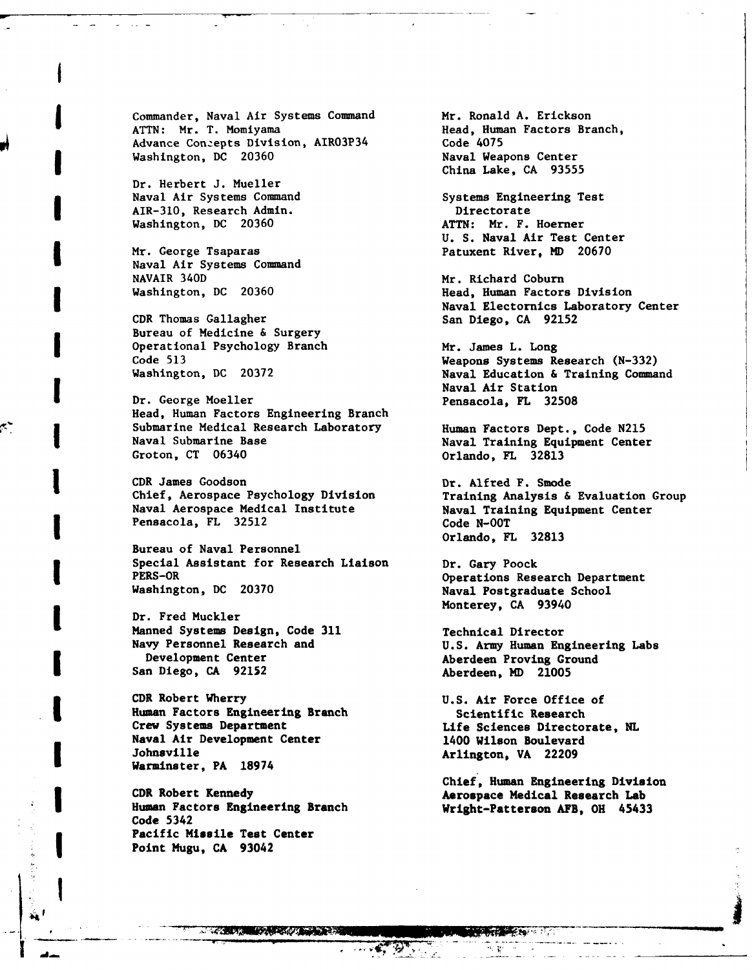Commander, Naval Air Systems Command Mr. Ronald A. Erickson<br>ATTN: Mr. T. Momiyama **Mr. And Med. Auman Factors Br.** Advance Conzepts Division, AIRO3P34 Code 4075<br>
Washington, DC 20360 Naval Weapons Center Washington, DC 20360

Dr. Herbert **J.** Mueller Naval Air Systems Command Systems Engineering Test AIR-310, Research Admin.<br>
Washington, DC 20360 ATTN: Mr. F. Hoerner Washington, DC 20360

Naval Air Systems Command NAVAIR 340D<br>Washington, DC 20360 Mr. Richard Coburn Washington, DC 20360

CDR Thomas Gallagher San Diego, CA 92152 Bureau of Medicine & Surgery Operational Psychology Branch Mr. James L. Long<br>Code 513 Weapons Systems Re

Dr. George Moeller **Pensacola**, FL 32508 Head, Human Factors Engineering Branch Submarine Medical Research Laboratory Human Factors Dept., Code N215 Naval Submarine Base **Naval Training Equipment Center**<br>
Groton, CT 06340 **Criminal Center**<br>
Orlando, FL 32813

CDR James Goodson Dr. Alfred F. Smode Chief, Aerospace Psychology Division Training Analysis **&** Evaluation Group Naval Aerospace Medical Institute Naval Training Equipment Center Pensacola, FL 32512 Code N-00T

Bureau of Naval Personnel Special Assistant for Research Liaison Dr. Gary Poock PERS-OR Operations Research Department

Dr. Fred Muckler Manned Systems Design, Code **311** Technical Director Development Center **Aberdeen** Proving Ground San Diego, **CA 92152** Aberdeen, **MD 21005**

CDR Robert Wherry **U.S.** Air Force Office of Human Factors Engineering Branch Scientific Research Naval Air Development Center 1400 Wilson Boulevard Johnsville **Arlington**, VA 22209 Warminster, PA **18974**

CDR Robert Kennedy **Aerospace Medical Research Lab** Human Factors Engineering Branch Wright-Patterson **AFB,** OH 45433 Code 5342 Pacific Missile Test Center Point Mugu, **CA** 93042

2KER'-7

Head, Human Factors Branch, Code 4075 China Lake, **CA 93555**

U. **S.** Naval Air Test Center Mr. George Tsaparas **Patuxent River, MD** 20670

> Head, Human Factors Division Naval Electornics Laboratory Center

Code **513** Weapons Systems Research **(N-332)** Naval Education & Training Command Naval Air Station

Orlando, FL 32813

Orlando, FL **32813**

Naval Postgraduate School Monterey, **CA** 93940

U.S. Army Human Engineering Labs

**READY OF THE READY** 

Chief, Human Engineering Division